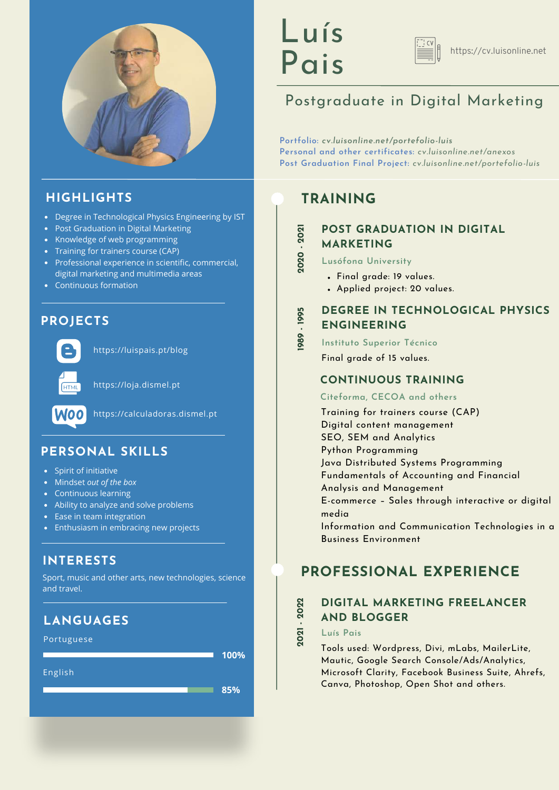

### **HIGHLIGHTS**

- Degree in Technological Physics Engineering by IST
- Post Graduation in Digital Marketing
- Knowledge of web programming
- Training for trainers course (CAP)
- Professional experience in scientific, commercial, digital marketing and multimedia areas
- Continuous formation

### **PROJECTS**



<https://luispais.pt/blog>



[https://loja.dismel.pt](https://loja.dismel.pt/)



[https://ca](https://loja.dismel.pt/)lculadoras.dismel.pt

### **PERSONAL SKILLS**

- Spirit of initiative
- Mindset *out of the box*
- Continuous learning
- Ability to analyze and solve problems
- Ease in team integration
- Enthusiasm in embracing new projects

### **INTERESTS**

Sport, music and other arts, new technologies, science and travel.

### **LANGUAGES**

Portuguese

English

**100%**

**85%**

# Luís Pais



# Postgraduate in Digital Marketing

**Portfolio:** *[cv.luisonline.net/portefolio-luis](https://cv.luisonline.net/portefolio-luis)* **Personal and other certificates:** *[cv.luisonline.net/anexos](https://cv.luisonline.net/anexos)* **Post Graduation Final Project:** *[cv.luisonline.net/portefolio-luis](https://cv.luisonline.net/portefolio-luis)*

# **TRAINING**

# **POST GRADUATION IN DIGITAL MARKETING 2020 - 2 021**

- **Lusófona University**
	- Final grade: 19 values.
	- Applied project: 20 values.

#### **DEGREE IN TECHNOLOGICAL PHYSICS ENGINEERING 19 89 - 19 95**

**Instituto Superior Técnico** Final grade of 15 values.

#### **[CONTINUOUS](https://www.linguee.pt/ingles-portugues/traducao/ongoing+training.html) TRAINING**

#### **Citeforma, CECOA and others**

Training for trainers course (CAP) Digital content management SEO, SEM and Analytics Python Programming Java Distributed Systems Programming Fundamentals of Accounting and Financial Analysis and Management E-commerce – Sales through interactive or digital media Information and Communication Technologies in a Business Environment

# **PROFESSIONAL EXPERIENCE**

# **DIGITAL MARKETING FREELANCER AND BLOGGER 2021 - 2 022**

**Luís Pais**

Tools used: Wordpress, Divi, mLabs, MailerLite, Mautic, Google Search Console/Ads/Analytics, Microsoft Clarity, Facebook Business Suite, Ahrefs, Canva, Photoshop, Open Shot and others.